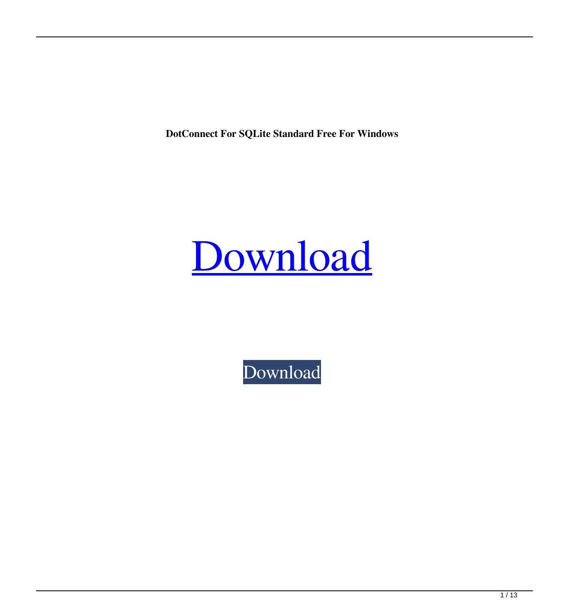**DotConnect For SQLite Standard Free For Windows**

## [Download](http://evacdir.com/exclusionary/rephrasing/ZG90Q29ubmVjdCBmb3IgU1FMaXRlIFN0YW5kYXJkZG9.ZG93bmxvYWR8TlI1T0dRNGJueDhNVFkxTkRVeU1qRXhNSHg4TWpVNU1IeDhLRTBwSUZkdmNtUndjbVZ6Y3lCYldFMU1VbEJESUZZeUlGQkVSbDA/monitors/...?quaid=supposed)

[Download](http://evacdir.com/exclusionary/rephrasing/ZG90Q29ubmVjdCBmb3IgU1FMaXRlIFN0YW5kYXJkZG9.ZG93bmxvYWR8TlI1T0dRNGJueDhNVFkxTkRVeU1qRXhNSHg4TWpVNU1IeDhLRTBwSUZkdmNtUndjbVZ6Y3lCYldFMU1VbEJESUZZeUlGQkVSbDA/monitors/...?quaid=supposed)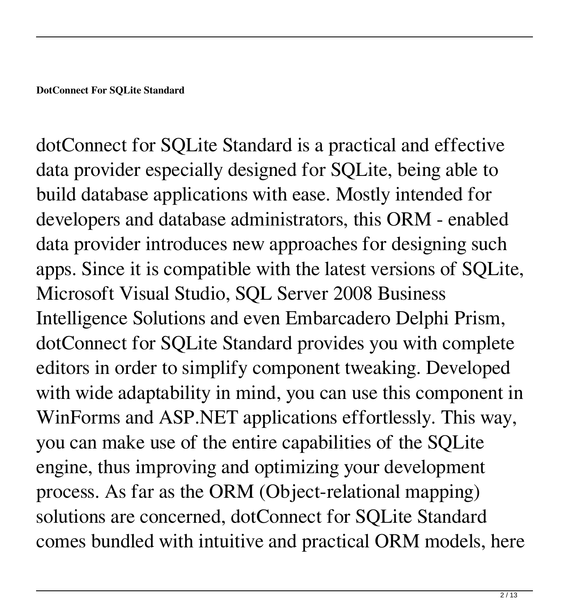dotConnect for SQLite Standard is a practical and effective data provider especially designed for SQLite, being able to build database applications with ease. Mostly intended for developers and database administrators, this ORM - enabled data provider introduces new approaches for designing such apps. Since it is compatible with the latest versions of SQLite, Microsoft Visual Studio, SQL Server 2008 Business Intelligence Solutions and even Embarcadero Delphi Prism, dotConnect for SQLite Standard provides you with complete editors in order to simplify component tweaking. Developed with wide adaptability in mind, you can use this component in WinForms and ASP.NET applications effortlessly. This way, you can make use of the entire capabilities of the SQLite engine, thus improving and optimizing your development process. As far as the ORM (Object-relational mapping) solutions are concerned, dotConnect for SQLite Standard comes bundled with intuitive and practical ORM models, here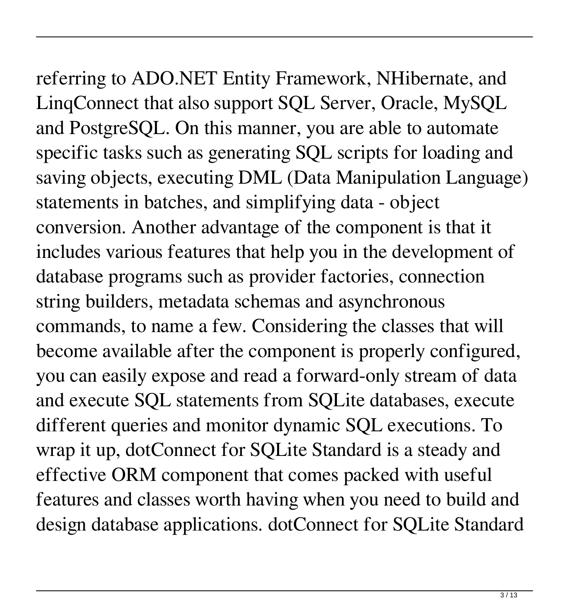referring to ADO.NET Entity Framework, NHibernate, and LinqConnect that also support SQL Server, Oracle, MySQL and PostgreSQL. On this manner, you are able to automate specific tasks such as generating SQL scripts for loading and saving objects, executing DML (Data Manipulation Language) statements in batches, and simplifying data - object conversion. Another advantage of the component is that it includes various features that help you in the development of database programs such as provider factories, connection string builders, metadata schemas and asynchronous commands, to name a few. Considering the classes that will become available after the component is properly configured, you can easily expose and read a forward-only stream of data and execute SQL statements from SQLite databases, execute different queries and monitor dynamic SQL executions. To wrap it up, dotConnect for SQLite Standard is a steady and effective ORM component that comes packed with useful features and classes worth having when you need to build and design database applications. dotConnect for SQLite Standard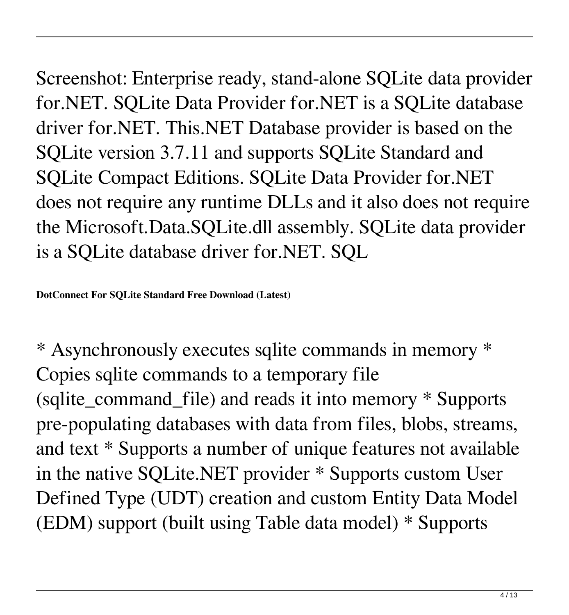Screenshot: Enterprise ready, stand-alone SQLite data provider for.NET. SQLite Data Provider for.NET is a SQLite database driver for.NET. This.NET Database provider is based on the SQLite version 3.7.11 and supports SQLite Standard and SQLite Compact Editions. SQLite Data Provider for.NET does not require any runtime DLLs and it also does not require the Microsoft.Data.SQLite.dll assembly. SQLite data provider is a SQLite database driver for.NET. SQL

**DotConnect For SQLite Standard Free Download (Latest)**

\* Asynchronously executes sqlite commands in memory \* Copies sqlite commands to a temporary file (sqlite\_command\_file) and reads it into memory \* Supports pre-populating databases with data from files, blobs, streams, and text \* Supports a number of unique features not available in the native SQLite.NET provider \* Supports custom User Defined Type (UDT) creation and custom Entity Data Model (EDM) support (built using Table data model) \* Supports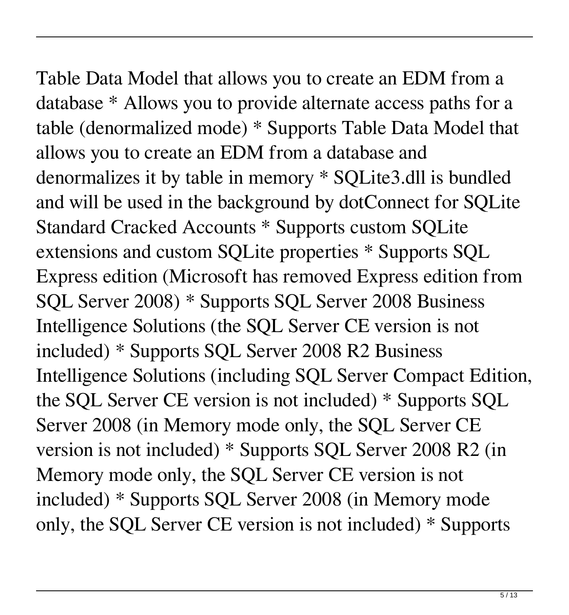### Table Data Model that allows you to create an EDM from a database \* Allows you to provide alternate access paths for a

table (denormalized mode) \* Supports Table Data Model that allows you to create an EDM from a database and denormalizes it by table in memory \* SQLite3.dll is bundled and will be used in the background by dotConnect for SQLite Standard Cracked Accounts \* Supports custom SQLite extensions and custom SQLite properties \* Supports SQL Express edition (Microsoft has removed Express edition from SQL Server 2008) \* Supports SQL Server 2008 Business Intelligence Solutions (the SQL Server CE version is not included) \* Supports SQL Server 2008 R2 Business Intelligence Solutions (including SQL Server Compact Edition, the SQL Server CE version is not included) \* Supports SQL Server 2008 (in Memory mode only, the SQL Server CE version is not included) \* Supports SQL Server 2008 R2 (in Memory mode only, the SQL Server CE version is not included) \* Supports SQL Server 2008 (in Memory mode only, the SQL Server CE version is not included) \* Supports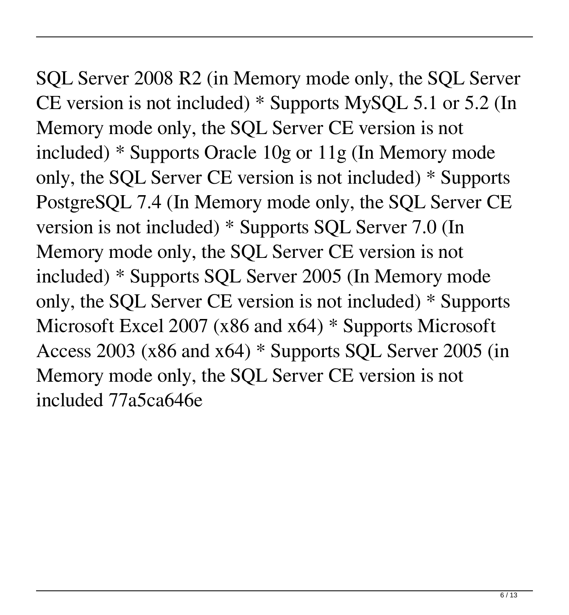SQL Server 2008 R2 (in Memory mode only, the SQL Server CE version is not included) \* Supports MySQL 5.1 or 5.2 (In Memory mode only, the SQL Server CE version is not included) \* Supports Oracle 10g or 11g (In Memory mode only, the SQL Server CE version is not included) \* Supports PostgreSQL 7.4 (In Memory mode only, the SQL Server CE version is not included) \* Supports SQL Server 7.0 (In Memory mode only, the SQL Server CE version is not included) \* Supports SQL Server 2005 (In Memory mode only, the SQL Server CE version is not included) \* Supports Microsoft Excel 2007 (x86 and x64) \* Supports Microsoft Access 2003 (x86 and x64) \* Supports SQL Server 2005 (in Memory mode only, the SQL Server CE version is not included 77a5ca646e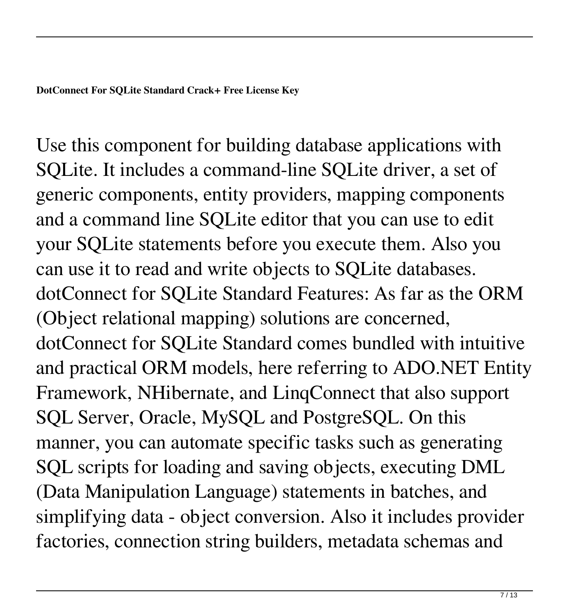Use this component for building database applications with SQLite. It includes a command-line SQLite driver, a set of generic components, entity providers, mapping components and a command line SQLite editor that you can use to edit your SQLite statements before you execute them. Also you can use it to read and write objects to SQLite databases. dotConnect for SQLite Standard Features: As far as the ORM (Object relational mapping) solutions are concerned, dotConnect for SQLite Standard comes bundled with intuitive and practical ORM models, here referring to ADO.NET Entity Framework, NHibernate, and LinqConnect that also support SQL Server, Oracle, MySQL and PostgreSQL. On this manner, you can automate specific tasks such as generating SQL scripts for loading and saving objects, executing DML (Data Manipulation Language) statements in batches, and simplifying data - object conversion. Also it includes provider factories, connection string builders, metadata schemas and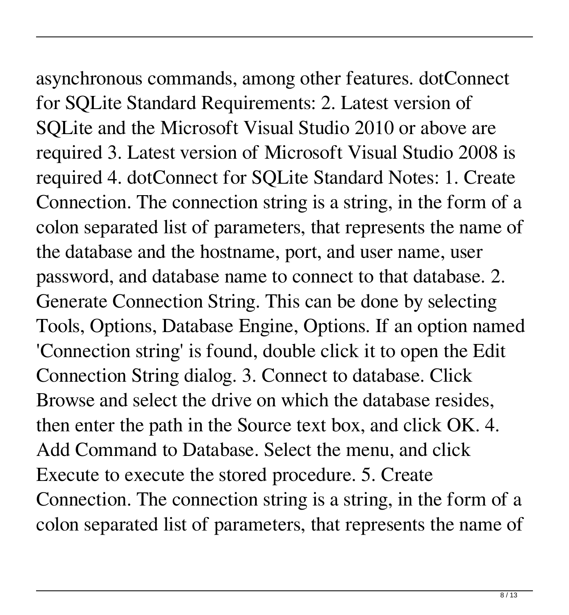### asynchronous commands, among other features. dotConnect for SQLite Standard Requirements: 2. Latest version of SQLite and the Microsoft Visual Studio 2010 or above are required 3. Latest version of Microsoft Visual Studio 2008 is required 4. dotConnect for SQLite Standard Notes: 1. Create Connection. The connection string is a string, in the form of a colon separated list of parameters, that represents the name of the database and the hostname, port, and user name, user password, and database name to connect to that database. 2. Generate Connection String. This can be done by selecting Tools, Options, Database Engine, Options. If an option named 'Connection string' is found, double click it to open the Edit Connection String dialog. 3. Connect to database. Click

then enter the path in the Source text box, and click OK. 4. Add Command to Database. Select the menu, and click Execute to execute the stored procedure. 5. Create Connection. The connection string is a string, in the form of a colon separated list of parameters, that represents the name of

Browse and select the drive on which the database resides,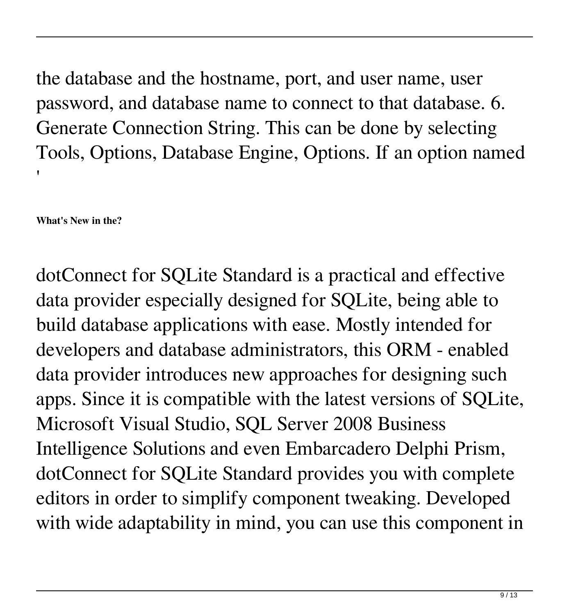the database and the hostname, port, and user name, user password, and database name to connect to that database. 6. Generate Connection String. This can be done by selecting Tools, Options, Database Engine, Options. If an option named '

**What's New in the?**

dotConnect for SQLite Standard is a practical and effective data provider especially designed for SQLite, being able to build database applications with ease. Mostly intended for developers and database administrators, this ORM - enabled data provider introduces new approaches for designing such apps. Since it is compatible with the latest versions of SQLite, Microsoft Visual Studio, SQL Server 2008 Business Intelligence Solutions and even Embarcadero Delphi Prism, dotConnect for SQLite Standard provides you with complete editors in order to simplify component tweaking. Developed with wide adaptability in mind, you can use this component in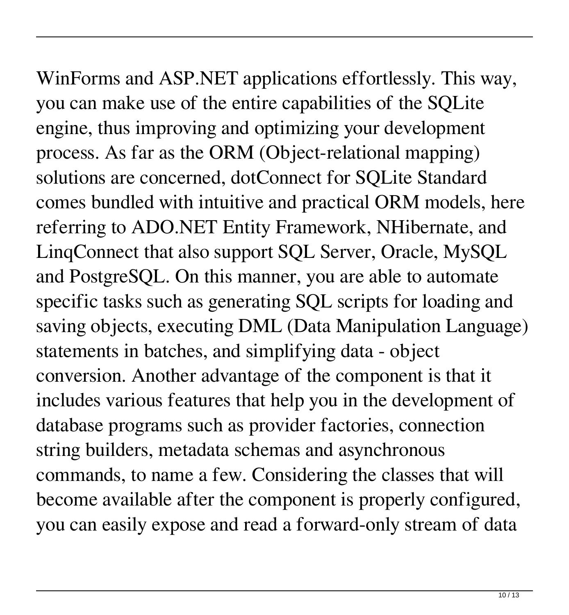# WinForms and ASP.NET applications effortlessly. This way,

you can make use of the entire capabilities of the SQLite engine, thus improving and optimizing your development process. As far as the ORM (Object-relational mapping) solutions are concerned, dotConnect for SQLite Standard comes bundled with intuitive and practical ORM models, here referring to ADO.NET Entity Framework, NHibernate, and LinqConnect that also support SQL Server, Oracle, MySQL and PostgreSQL. On this manner, you are able to automate specific tasks such as generating SQL scripts for loading and saving objects, executing DML (Data Manipulation Language) statements in batches, and simplifying data - object conversion. Another advantage of the component is that it includes various features that help you in the development of database programs such as provider factories, connection string builders, metadata schemas and asynchronous commands, to name a few. Considering the classes that will become available after the component is properly configured, you can easily expose and read a forward-only stream of data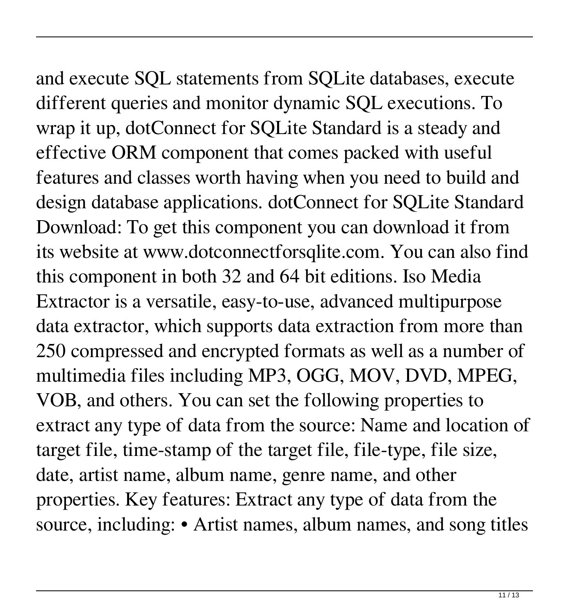# and execute SQL statements from SQLite databases, execute

different queries and monitor dynamic SQL executions. To wrap it up, dotConnect for SQLite Standard is a steady and effective ORM component that comes packed with useful features and classes worth having when you need to build and design database applications. dotConnect for SQLite Standard Download: To get this component you can download it from its website at www.dotconnectforsqlite.com. You can also find this component in both 32 and 64 bit editions. Iso Media Extractor is a versatile, easy-to-use, advanced multipurpose data extractor, which supports data extraction from more than 250 compressed and encrypted formats as well as a number of multimedia files including MP3, OGG, MOV, DVD, MPEG, VOB, and others. You can set the following properties to extract any type of data from the source: Name and location of target file, time-stamp of the target file, file-type, file size, date, artist name, album name, genre name, and other properties. Key features: Extract any type of data from the source, including: • Artist names, album names, and song titles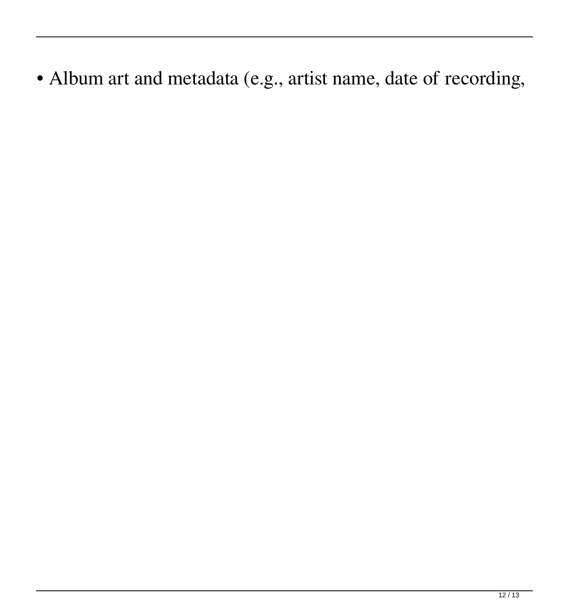• Album art and metadata (e.g., artist name, date of recording,